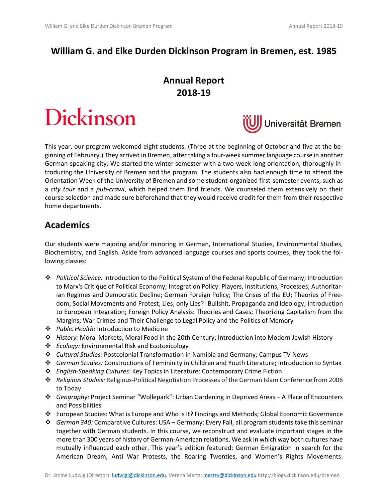# **William G. and Elke Durden Dickinson Program in Bremen, est. 1985**

# **Annual Report 2018-19**

# Dickinson



This year, our program welcomed eight students. (Three at the beginning of October and five at the beginning of February.) They arrived in Bremen, after taking a four-week summer language course in another German-speaking city. We started the winter semester with a two-week-long orientation, thoroughly introducing the University of Bremen and the program. The students also had enough time to attend the Orientation Week of the University of Bremen and some student-organized first-semester events, such as a *city tour* and a *pub-crawl*, which helped them find friends. We counseled them extensively on their course selection and made sure beforehand that they would receive credit for them from their respective home departments.

## **Academics**

Our students were majoring and/or minoring in German, International Studies, Environmental Studies, Biochemistry, and English. Aside from advanced language courses and sports courses, they took the following classes:

- ❖ *Political Science:* Introduction to the Political System of the Federal Republic of Germany; Introduction to Marx's Critique of Political Economy; Integration Policy: Players, Institutions, Processes; Authoritarian Regimes and Democratic Decline; German Foreign Policy; The Crises of the EU; Theories of Freedom; Social Movements and Protest; Lies, only Lies?! Bullshit, Propaganda and Ideology; Introduction to European Integration; Foreign Policy Analysis: Theories and Cases; Theorizing Capitalism from the Margins; War Crimes and Their Challenge to Legal Policy and the Politics of Memory
- ❖ *Public Health:* Introduction to Medicine
- ❖ *History:* Moral Markets, Moral Food in the 20th Century; Introduction into Modern Jewish History
- ❖ *Ecology:* Environmental Risk and Ecotoxicology
- ❖ *Cultural Studies:* Postcolonial Transformation in Namibia and Germany; Campus TV News
- ❖ *German Studies:* Constructions of Femininity in Children and Youth Literature; Introduction to Syntax
- ❖ *English-Speaking Cultures:* Key Topics in Literature: Contemporary Crime Fiction
- ❖ *Religious Studies:* Religious-Political Negotiation Processes of the German Islam Conference from 2006 to Today
- ❖ *Geography:* Project Seminar "Wollepark": Urban Gardening in Deprived Areas A Place of Encounters and Possibilities
- ❖ European Studies: What is Europe and Who Is It? Findings and Methods; Global Economic Governance
- ❖ *German 340:* Comparative Cultures: USA Germany: Every Fall, all program students take this seminar together with German students. In this course, we reconstruct and evaluate important stages in the more than 300 years of history of German-American relations. We ask in which way both cultures have mutually influenced each other. This year's edition featured: German Emigration in search for the American Dream, Anti War Protests, the Roaring Twenties, and Women's Rights Movements.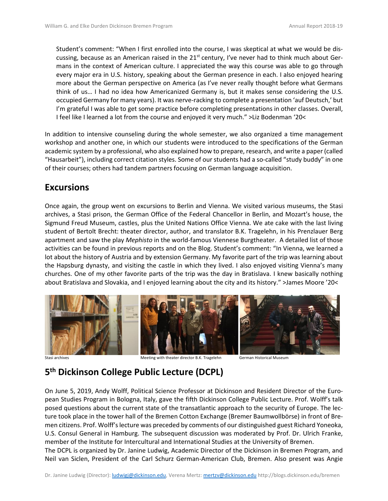Student's comment: "When I first enrolled into the course, I was skeptical at what we would be discussing, because as an American raised in the  $21<sup>st</sup>$  century, I've never had to think much about Germans in the context of American culture. I appreciated the way this course was able to go through every major era in U.S. history, speaking about the German presence in each. I also enjoyed hearing more about the German perspective on America (as I've never really thought before what Germans think of us… I had no idea how Americanized Germany is, but it makes sense considering the U.S. occupied Germany for many years). It was nerve-racking to complete a presentation 'auf Deutsch,' but I'm grateful I was able to get some practice before completing presentations in other classes. Overall, I feel like I learned a lot from the course and enjoyed it very much." >Liz Bodenman '20<

In addition to intensive counseling during the whole semester, we also organized a time management workshop and another one, in which our students were introduced to the specifications of the German academic system by a professional, who also explained how to prepare, research, and write a paper (called "Hausarbeit"), including correct citation styles. Some of our students had a so-called "study buddy" in one of their courses; others had tandem partners focusing on German language acquisition.

## **Excursions**

Once again, the group went on excursions to Berlin and Vienna. We visited various museums, the Stasi archives, a Stasi prison, the German Office of the Federal Chancellor in Berlin, and Mozart's house, the Sigmund Freud Museum, castles, plus the United Nations Office Vienna. We ate cake with the last living student of Bertolt Brecht: theater director, author, and translator B.K. Tragelehn, in his Prenzlauer Berg apartment and saw the play *Mephisto* in the world-famous Viennese Burgtheater. A detailed list of those activities can be found in previous reports and on the Blog. Student's comment: "In Vienna, we learned a lot about the history of Austria and by extension Germany. My favorite part of the trip was learning about the Hapsburg dynasty, and visiting the castle in which they lived. I also enjoyed visiting Vienna's many churches. One of my other favorite parts of the trip was the day in Bratislava. I knew basically nothing about Bratislava and Slovakia, and I enjoyed learning about the city and its history." >James Moore '20<



# **5 th Dickinson College Public Lecture (DCPL)**

On June 5, 2019, Andy Wolff, Political Science Professor at Dickinson and Resident Director of the European Studies Program in Bologna, Italy, gave the fifth Dickinson College Public Lecture. Prof. Wolff's talk posed questions about the current state of the transatlantic approach to the security of Europe. The lecture took place in the tower hall of the Bremen Cotton Exchange (Bremer Baumwollbörse) in front of Bremen citizens. Prof. Wolff'slecture was preceded by comments of our distinguished guest Richard Yoneoka, U.S. Consul General in Hamburg. The subsequent discussion was moderated by Prof. Dr. Ulrich Franke, member of the Institute for Intercultural and International Studies at the University of Bremen. The DCPL is organized by Dr. Janine Ludwig, Academic Director of the Dickinson in Bremen Program, and Neil van Siclen, President of the Carl Schurz German-American Club, Bremen. Also present was Angie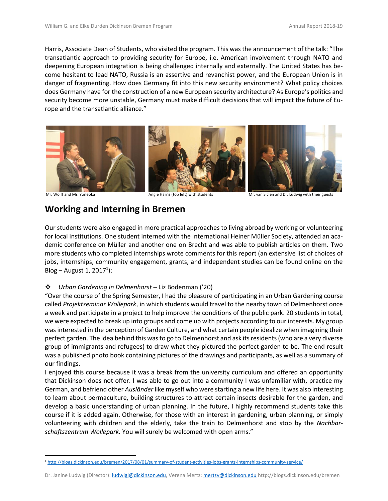Harris, Associate Dean of Students, who visited the program. This was the announcement of the talk: "The transatlantic approach to providing security for Europe, i.e. American involvement through NATO and deepening European integration is being challenged internally and externally. The United States has become hesitant to lead NATO, Russia is an assertive and revanchist power, and the European Union is in danger of fragmenting. How does Germany fit into this new security environment? What policy choices does Germany have for the construction of a new European security architecture? As Europe's politics and security become more unstable, Germany must make difficult decisions that will impact the future of Europe and the transatlantic alliance."



Mr. Wolff and Mr. Yoneoka **Angie Harris (top left) with students** Mr. van Siclen and Dr. Ludwig with their guests

## **Working and Interning in Bremen**

Our students were also engaged in more practical approaches to living abroad by working or volunteering for local institutions. One student interned with the International Heiner Müller Society, attended an academic conference on Müller and another one on Brecht and was able to publish articles on them. Two more students who completed internships wrote comments for this report (an extensive list of choices of jobs, internships, community engagement, grants, and independent studies can be found online on the  $Blog - August 1, 2017<sup>1</sup>$ :

### ❖ *Urban Gardening in Delmenhorst* – Liz Bodenman ('20)

"Over the course of the Spring Semester, I had the pleasure of participating in an Urban Gardening course called *Projektseminar Wollepark*, in which students would travel to the nearby town of Delmenhorst once a week and participate in a project to help improve the conditions of the public park. 20 students in total, we were expected to break up into groups and come up with projects according to our interests. My group was interested in the perception of Garden Culture, and what certain people idealize when imagining their perfect garden. The idea behind this was to go to Delmenhorst and ask its residents (who are a very diverse group of immigrants and refugees) to draw what they pictured the perfect garden to be. The end result was a published photo book containing pictures of the drawings and participants, as well as a summary of our findings.

I enjoyed this course because it was a break from the university curriculum and offered an opportunity that Dickinson does not offer. I was able to go out into a community I was unfamiliar with, practice my German, and befriend other *Ausländer* like myself who were starting a new life here. It was also interesting to learn about permaculture, building structures to attract certain insects desirable for the garden, and develop a basic understanding of urban planning. In the future, I highly recommend students take this course if it is added again. Otherwise, for those with an interest in gardening, urban planning, or simply volunteering with children and the elderly, take the train to Delmenhorst and stop by the *Nachbarschaftszentrum Wollepark.* You will surely be welcomed with open arms."

<sup>1</sup> <http://blogs.dickinson.edu/bremen/2017/08/01/summary-of-student-activities-jobs-grants-internships-community-service/>

Dr. Janine Ludwig (Director): *ludwigj@dickinson.edu*, Verena Mertz: [mertzv@dickinson.edu](mailto:mertzv@dickinson.edu) http://blogs.dickinson.edu/bremen